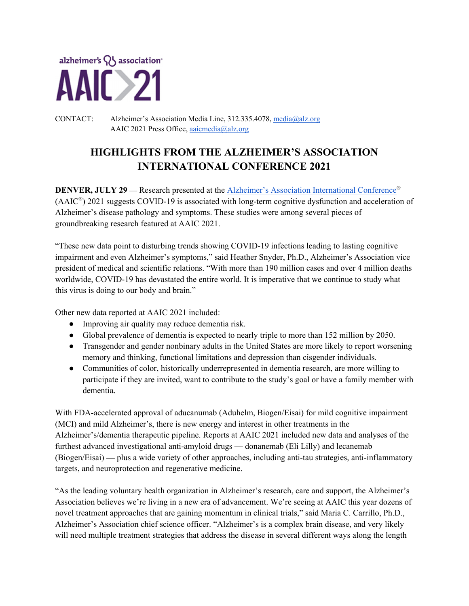

CONTACT: Alzheimer's Association Media Line, 312.335.4078, media@alz.org AAIC 2021 Press Office, aaicmedia@alz.org

# **HIGHLIGHTS FROM THE ALZHEIMER'S ASSOCIATION INTERNATIONAL CONFERENCE 2021**

**DENVER, JULY 29** — Research presented at the Alzheimer's Association International Conference<sup>®</sup> (AAIC®) 2021 suggests COVID-19 is associated with long-term cognitive dysfunction and acceleration of Alzheimer's disease pathology and symptoms. These studies were among several pieces of groundbreaking research featured at AAIC 2021.

"These new data point to disturbing trends showing COVID-19 infections leading to lasting cognitive impairment and even Alzheimer's symptoms," said Heather Snyder, Ph.D., Alzheimer's Association vice president of medical and scientific relations. "With more than 190 million cases and over 4 million deaths worldwide, COVID-19 has devastated the entire world. It is imperative that we continue to study what this virus is doing to our body and brain."

Other new data reported at AAIC 2021 included:

- Improving air quality may reduce dementia risk.
- Global prevalence of dementia is expected to nearly triple to more than 152 million by 2050.
- Transgender and gender nonbinary adults in the United States are more likely to report worsening memory and thinking, functional limitations and depression than cisgender individuals.
- Communities of color, historically underrepresented in dementia research, are more willing to participate if they are invited, want to contribute to the study's goal or have a family member with dementia.

With FDA-accelerated approval of aducanumab (Aduhelm, Biogen/Eisai) for mild cognitive impairment (MCI) and mild Alzheimer's, there is new energy and interest in other treatments in the Alzheimer's/dementia therapeutic pipeline. Reports at AAIC 2021 included new data and analyses of the furthest advanced investigational anti-amyloid drugs **—** donanemab (Eli Lilly) and lecanemab (Biogen/Eisai) **—** plus a wide variety of other approaches, including anti-tau strategies, anti-inflammatory targets, and neuroprotection and regenerative medicine.

"As the leading voluntary health organization in Alzheimer's research, care and support, the Alzheimer's Association believes we're living in a new era of advancement. We're seeing at AAIC this year dozens of novel treatment approaches that are gaining momentum in clinical trials," said Maria C. Carrillo, Ph.D., Alzheimer's Association chief science officer. "Alzheimer's is a complex brain disease, and very likely will need multiple treatment strategies that address the disease in several different ways along the length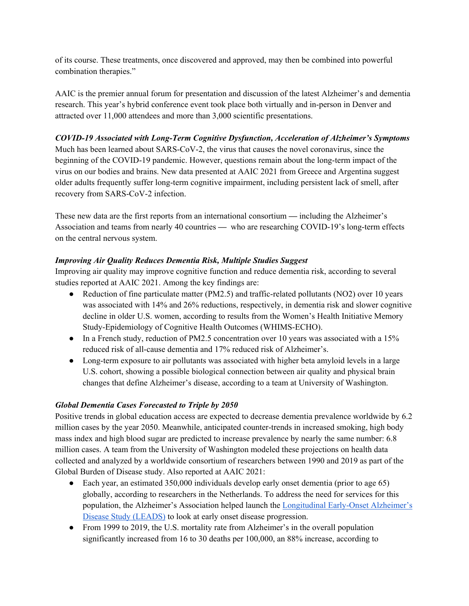of its course. These treatments, once discovered and approved, may then be combined into powerful combination therapies."

AAIC is the premier annual forum for presentation and discussion of the latest Alzheimer's and dementia research. This year's hybrid conference event took place both virtually and in-person in Denver and attracted over 11,000 attendees and more than 3,000 scientific presentations.

#### *COVID-19 Associated with Long-Term Cognitive Dysfunction, Acceleration of Alzheimer's Symptoms*

Much has been learned about SARS-CoV-2, the virus that causes the novel coronavirus, since the beginning of the COVID-19 pandemic. However, questions remain about the long-term impact of the virus on our bodies and brains. New data presented at AAIC 2021 from Greece and Argentina suggest older adults frequently suffer long-term cognitive impairment, including persistent lack of smell, after recovery from SARS-CoV-2 infection.

These new data are the first reports from an international consortium **—** including the Alzheimer's Association and teams from nearly 40 countries **—** who are researching COVID-19's long-term effects on the central nervous system.

# *Improving Air Quality Reduces Dementia Risk, Multiple Studies Suggest*

Improving air quality may improve cognitive function and reduce dementia risk, according to several studies reported at AAIC 2021. Among the key findings are:

- Reduction of fine particulate matter (PM2.5) and traffic-related pollutants (NO2) over 10 years was associated with 14% and 26% reductions, respectively, in dementia risk and slower cognitive decline in older U.S. women, according to results from the Women's Health Initiative Memory Study-Epidemiology of Cognitive Health Outcomes (WHIMS-ECHO).
- In a French study, reduction of PM2.5 concentration over 10 years was associated with a 15% reduced risk of all-cause dementia and 17% reduced risk of Alzheimer's.
- Long-term exposure to air pollutants was associated with higher beta amyloid levels in a large U.S. cohort, showing a possible biological connection between air quality and physical brain changes that define Alzheimer's disease, according to a team at University of Washington.

# *Global Dementia Cases Forecasted to Triple by 2050*

Positive trends in global education access are expected to decrease dementia prevalence worldwide by 6.2 million cases by the year 2050. Meanwhile, anticipated counter-trends in increased smoking, high body mass index and high blood sugar are predicted to increase prevalence by nearly the same number: 6.8 million cases. A team from the University of Washington modeled these projections on health data collected and analyzed by a worldwide consortium of researchers between 1990 and 2019 as part of the Global Burden of Disease study. Also reported at AAIC 2021:

- Each year, an estimated 350,000 individuals develop early onset dementia (prior to age 65) globally, according to researchers in the Netherlands. To address the need for services for this population, the Alzheimer's Association helped launch the Longitudinal Early-Onset Alzheimer's Disease Study (LEADS) to look at early onset disease progression.
- From 1999 to 2019, the U.S. mortality rate from Alzheimer's in the overall population significantly increased from 16 to 30 deaths per 100,000, an 88% increase, according to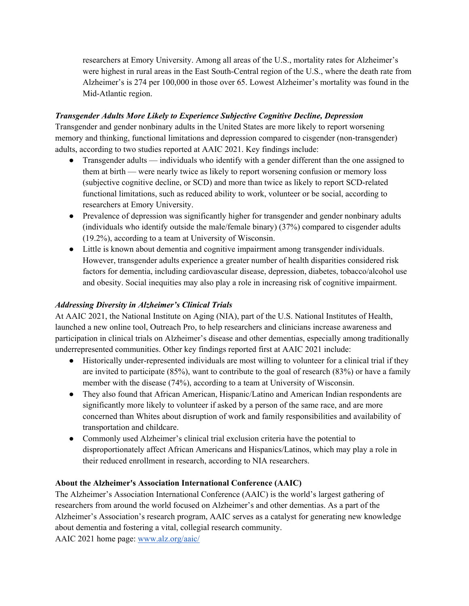researchers at Emory University. Among all areas of the U.S., mortality rates for Alzheimer's were highest in rural areas in the East South-Central region of the U.S., where the death rate from Alzheimer's is 274 per 100,000 in those over 65. Lowest Alzheimer's mortality was found in the Mid-Atlantic region.

# *Transgender Adults More Likely to Experience Subjective Cognitive Decline, Depression*

Transgender and gender nonbinary adults in the United States are more likely to report worsening memory and thinking, functional limitations and depression compared to cisgender (non-transgender) adults, according to two studies reported at AAIC 2021. Key findings include:

- Transgender adults individuals who identify with a gender different than the one assigned to them at birth — were nearly twice as likely to report worsening confusion or memory loss (subjective cognitive decline, or SCD) and more than twice as likely to report SCD-related functional limitations, such as reduced ability to work, volunteer or be social, according to researchers at Emory University.
- Prevalence of depression was significantly higher for transgender and gender nonbinary adults (individuals who identify outside the male/female binary) (37%) compared to cisgender adults (19.2%), according to a team at University of Wisconsin.
- Little is known about dementia and cognitive impairment among transgender individuals. However, transgender adults experience a greater number of health disparities considered risk factors for dementia, including cardiovascular disease, depression, diabetes, tobacco/alcohol use and obesity. Social inequities may also play a role in increasing risk of cognitive impairment.

# *Addressing Diversity in Alzheimer's Clinical Trials*

At AAIC 2021, the National Institute on Aging (NIA), part of the U.S. National Institutes of Health, launched a new online tool, Outreach Pro, to help researchers and clinicians increase awareness and participation in clinical trials on Alzheimer's disease and other dementias, especially among traditionally underrepresented communities. Other key findings reported first at AAIC 2021 include:

- Historically under-represented individuals are most willing to volunteer for a clinical trial if they are invited to participate (85%), want to contribute to the goal of research (83%) or have a family member with the disease (74%), according to a team at University of Wisconsin.
- They also found that African American, Hispanic/Latino and American Indian respondents are significantly more likely to volunteer if asked by a person of the same race, and are more concerned than Whites about disruption of work and family responsibilities and availability of transportation and childcare.
- Commonly used Alzheimer's clinical trial exclusion criteria have the potential to disproportionately affect African Americans and Hispanics/Latinos, which may play a role in their reduced enrollment in research, according to NIA researchers.

# **About the Alzheimer's Association International Conference (AAIC)**

The Alzheimer's Association International Conference (AAIC) is the world's largest gathering of researchers from around the world focused on Alzheimer's and other dementias. As a part of the Alzheimer's Association's research program, AAIC serves as a catalyst for generating new knowledge about dementia and fostering a vital, collegial research community.

AAIC 2021 home page: www.alz.org/aaic/